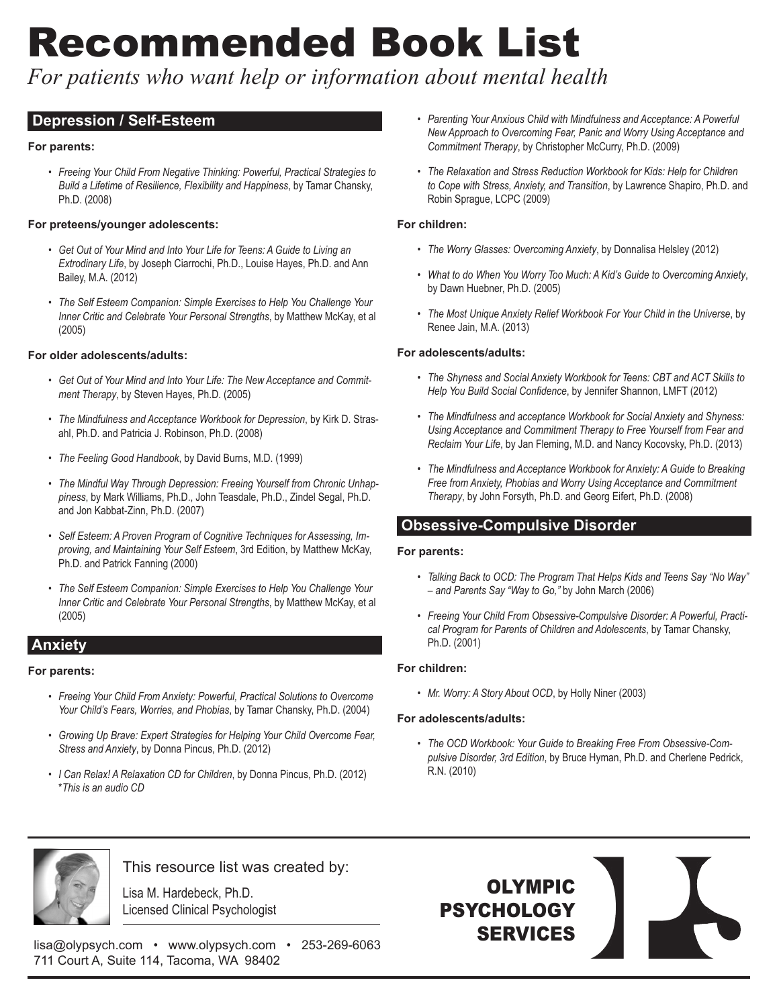# Recommended Book List

*For patients who want help or information about mental health*

# **Depression / Self-Esteem**

## **For parents:**

*• Freeing Your Child From Negative Thinking: Powerful, Practical Strategies to Build a Lifetime of Resilience, Flexibility and Happiness*, by Tamar Chansky, Ph.D. (2008)

## **For preteens/younger adolescents:**

- *• Get Out of Your Mind and Into Your Life for Teens: A Guide to Living an Extrodinary Life*, by Joseph Ciarrochi, Ph.D., Louise Hayes, Ph.D. and Ann Bailey, M.A. (2012)
- *• The Self Esteem Companion: Simple Exercises to Help You Challenge Your Inner Critic and Celebrate Your Personal Strengths*, by Matthew McKay, et al (2005)

## **For older adolescents/adults:**

- *• Get Out of Your Mind and Into Your Life: The New Acceptance and Commitment Therapy*, by Steven Hayes, Ph.D. (2005)
- *• The Mindfulness and Acceptance Workbook for Depression*, by Kirk D. Strasahl, Ph.D. and Patricia J. Robinson, Ph.D. (2008)
- *• The Feeling Good Handbook*, by David Burns, M.D. (1999)
- *• The Mindful Way Through Depression: Freeing Yourself from Chronic Unhappiness*, by Mark Williams, Ph.D., John Teasdale, Ph.D., Zindel Segal, Ph.D. and Jon Kabbat-Zinn, Ph.D. (2007)
- *• Self Esteem: A Proven Program of Cognitive Techniques for Assessing, Improving, and Maintaining Your Self Esteem*, 3rd Edition, by Matthew McKay, Ph.D. and Patrick Fanning (2000)
- *• The Self Esteem Companion: Simple Exercises to Help You Challenge Your Inner Critic and Celebrate Your Personal Strengths*, by Matthew McKay, et al (2005)

# **Anxiety**

## **For parents:**

- *• Freeing Your Child From Anxiety: Powerful, Practical Solutions to Overcome Your Child's Fears, Worries, and Phobias*, by Tamar Chansky, Ph.D. (2004)
- *• Growing Up Brave: Expert Strategies for Helping Your Child Overcome Fear, Stress and Anxiety*, by Donna Pincus, Ph.D. (2012)
- *• I Can Relax! A Relaxation CD for Children*, by Donna Pincus, Ph.D. (2012) \**This is an audio CD*
- *• Parenting Your Anxious Child with Mindfulness and Acceptance: A Powerful New Approach to Overcoming Fear, Panic and Worry Using Acceptance and Commitment Therapy*, by Christopher McCurry, Ph.D. (2009)
- *• The Relaxation and Stress Reduction Workbook for Kids: Help for Children to Cope with Stress, Anxiety, and Transition*, by Lawrence Shapiro, Ph.D. and Robin Sprague, LCPC (2009)

## **For children:**

- *• The Worry Glasses: Overcoming Anxiety*, by Donnalisa Helsley (2012)
- *• What to do When You Worry Too Much: A Kid's Guide to Overcoming Anxiety*, by Dawn Huebner, Ph.D. (2005)
- *• The Most Unique Anxiety Relief Workbook For Your Child in the Universe*, by Renee Jain, M.A. (2013)

## **For adolescents/adults:**

- *• The Shyness and Social Anxiety Workbook for Teens: CBT and ACT Skills to Help You Build Social Confidence*, by Jennifer Shannon, LMFT (2012)
- *• The Mindfulness and acceptance Workbook for Social Anxiety and Shyness: Using Acceptance and Commitment Therapy to Free Yourself from Fear and Reclaim Your Life*, by Jan Fleming, M.D. and Nancy Kocovsky, Ph.D. (2013)
- *• The Mindfulness and Acceptance Workbook for Anxiety: A Guide to Breaking Free from Anxiety, Phobias and Worry Using Acceptance and Commitment Therapy*, by John Forsyth, Ph.D. and Georg Eifert, Ph.D. (2008)

# **Obsessive-Compulsive Disorder**

## **For parents:**

- *• Talking Back to OCD: The Program That Helps Kids and Teens Say "No Way" – and Parents Say "Way to Go,"* by John March (2006)
- *• Freeing Your Child From Obsessive-Compulsive Disorder: A Powerful, Practical Program for Parents of Children and Adolescents*, by Tamar Chansky, Ph.D. (2001)

## **For children:**

*• Mr. Worry: A Story About OCD*, by Holly Niner (2003)

## **For adolescents/adults:**

*• The OCD Workbook: Your Guide to Breaking Free From Obsessive-Compulsive Disorder, 3rd Edition*, by Bruce Hyman, Ph.D. and Cherlene Pedrick, R.N. (2010)



This resource list was created by:

Lisa M. Hardebeck, Ph.D. Licensed Clinical Psychologist

lisa@olypsych.com • www.olypsych.com • 253-269-6063 711 Court A, Suite 114, Tacoma, WA 98402

OLYMPIC PSYCHOLOGY SERVICES